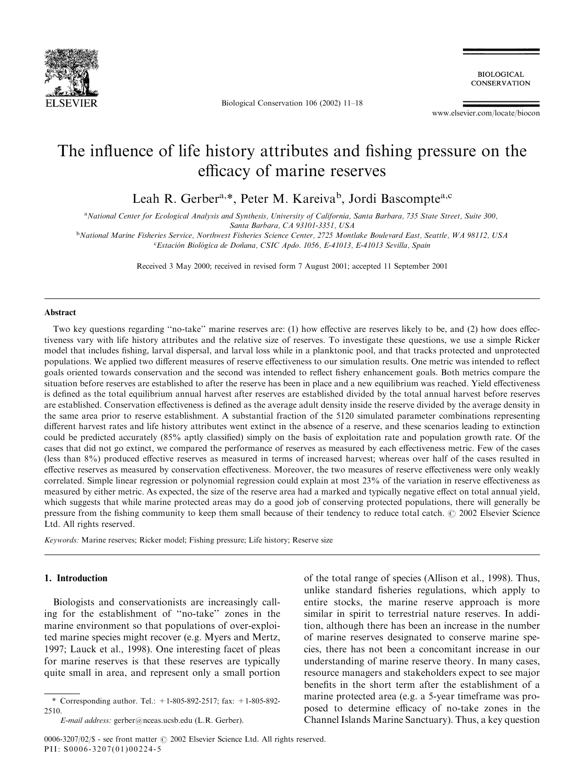

Biological Conservation 106 (2002) 11–18

**BIOLOGICAL CONSERVATION** 

www.elsevier.com/locate/biocon

# The influence of life history attributes and fishing pressure on the efficacy of marine reserves

Leah R. Gerber<sup>a,\*</sup>, Peter M. Kareiva<sup>b</sup>, Jordi Bascompte<sup>a,c</sup>

a National Center for Ecological Analysis and Synthesis, University of California, Santa Barbara, 735 State Street, Suite 300, Santa Barbara, CA 93101-3351, USA

<sup>b</sup>National Marine Fisheries Service, Northwest Fisheries Science Center, 2725 Montlake Boulevard East, Seattle, WA 98112, USA <sup>c</sup>Estación Biológica de Doñana, CSIC Apdo. 1056, E-41013, E-41013 Sevilla, Spain

Received 3 May 2000; received in revised form 7 August 2001; accepted 11 September 2001

#### Abstract

Two key questions regarding ''no-take'' marine reserves are: (1) how effective are reserves likely to be, and (2) how does effectiveness vary with life history attributes and the relative size of reserves. To investigate these questions, we use a simple Ricker model that includes fishing, larval dispersal, and larval loss while in a planktonic pool, and that tracks protected and unprotected populations. We applied two different measures of reserve effectiveness to our simulation results. One metric was intended to reflect goals oriented towards conservation and the second was intended to reflect fishery enhancement goals. Both metrics compare the situation before reserves are established to after the reserve has been in place and a new equilibrium was reached. Yield effectiveness is defined as the total equilibrium annual harvest after reserves are established divided by the total annual harvest before reserves are established. Conservation effectiveness is defined as the average adult density inside the reserve divided by the average density in the same area prior to reserve establishment. A substantial fraction of the 5120 simulated parameter combinations representing different harvest rates and life history attributes went extinct in the absence of a reserve, and these scenarios leading to extinction could be predicted accurately (85% aptly classified) simply on the basis of exploitation rate and population growth rate. Of the cases that did not go extinct, we compared the performance of reserves as measured by each effectiveness metric. Few of the cases (less than 8%) produced effective reserves as measured in terms of increased harvest; whereas over half of the cases resulted in effective reserves as measured by conservation effectiveness. Moreover, the two measures of reserve effectiveness were only weakly correlated. Simple linear regression or polynomial regression could explain at most 23% of the variation in reserve effectiveness as measured by either metric. As expected, the size of the reserve area had a marked and typically negative effect on total annual yield, which suggests that while marine protected areas may do a good job of conserving protected populations, there will generally be pressure from the fishing community to keep them small because of their tendency to reduce total catch. © 2002 Elsevier Science Ltd. All rights reserved.

Keywords: Marine reserves; Ricker model; Fishing pressure; Life history; Reserve size

## 1. Introduction

Biologists and conservationists are increasingly calling for the establishment of ''no-take'' zones in the marine environment so that populations of over-exploited marine species might recover (e.g. Myers and Mertz, 1997; Lauck et al., 1998). One interesting facet of pleas for marine reserves is that these reserves are typically quite small in area, and represent only a small portion

of the total range of species (Allison et al., 1998). Thus, unlike standard fisheries regulations, which apply to entire stocks, the marine reserve approach is more similar in spirit to terrestrial nature reserves. In addition, although there has been an increase in the number of marine reserves designated to conserve marine species, there has not been a concomitant increase in our understanding of marine reserve theory. In many cases, resource managers and stakeholders expect to see major benefits in the short term after the establishment of a marine protected area (e.g. a 5-year timeframe was proposed to determine efficacy of no-take zones in the Channel Islands Marine Sanctuary). Thus, a key question

<sup>\*</sup> Corresponding author. Tel.:  $+1-805-892-2517$ ; fax:  $+1-805-892-$ 2510.

E-mail address: gerber@nceas.ucsb.edu (L.R. Gerber).

<sup>0006-3207/02/\$ -</sup> see front matter  $\odot$  2002 Elsevier Science Ltd. All rights reserved. PII: S0006-3207(01)00224-5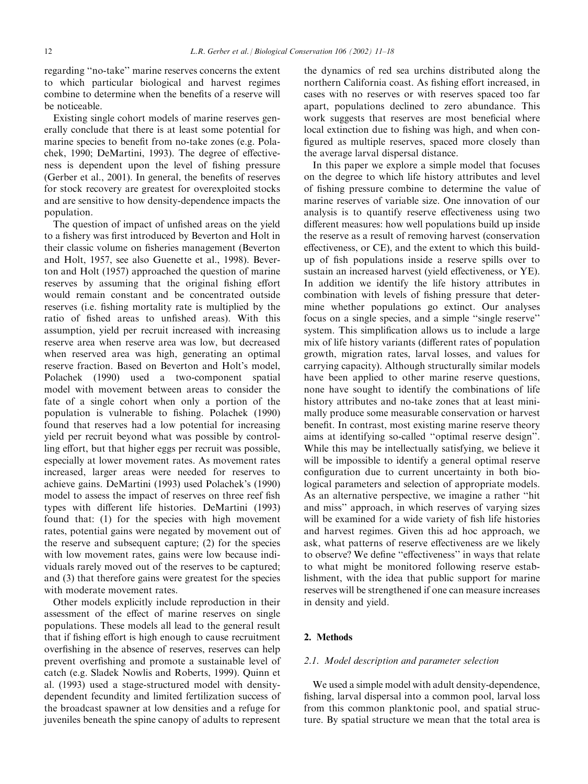regarding ''no-take'' marine reserves concerns the extent to which particular biological and harvest regimes combine to determine when the benefits of a reserve will be noticeable.

Existing single cohort models of marine reserves generally conclude that there is at least some potential for marine species to benefit from no-take zones (e.g. Polachek, 1990; DeMartini, 1993). The degree of effectiveness is dependent upon the level of fishing pressure (Gerber et al., 2001). In general, the benefits of reserves for stock recovery are greatest for overexploited stocks and are sensitive to how density-dependence impacts the population.

The question of impact of unfished areas on the yield to a fishery was first introduced by Beverton and Holt in their classic volume on fisheries management (Beverton and Holt, 1957, see also Guenette et al., 1998). Beverton and Holt (1957) approached the question of marine reserves by assuming that the original fishing effort would remain constant and be concentrated outside reserves (i.e. fishing mortality rate is multiplied by the ratio of fished areas to unfished areas). With this assumption, yield per recruit increased with increasing reserve area when reserve area was low, but decreased when reserved area was high, generating an optimal reserve fraction. Based on Beverton and Holt's model, Polachek (1990) used a two-component spatial model with movement between areas to consider the fate of a single cohort when only a portion of the population is vulnerable to fishing. Polachek (1990) found that reserves had a low potential for increasing yield per recruit beyond what was possible by controlling effort, but that higher eggs per recruit was possible, especially at lower movement rates. As movement rates increased, larger areas were needed for reserves to achieve gains. DeMartini (1993) used Polachek's (1990) model to assess the impact of reserves on three reef fish types with different life histories. DeMartini (1993) found that: (1) for the species with high movement rates, potential gains were negated by movement out of the reserve and subsequent capture; (2) for the species with low movement rates, gains were low because individuals rarely moved out of the reserves to be captured; and (3) that therefore gains were greatest for the species with moderate movement rates.

Other models explicitly include reproduction in their assessment of the effect of marine reserves on single populations. These models all lead to the general result that if fishing effort is high enough to cause recruitment overfishing in the absence of reserves, reserves can help prevent overfishing and promote a sustainable level of catch (e.g. Sladek Nowlis and Roberts, 1999). Quinn et al. (1993) used a stage-structured model with densitydependent fecundity and limited fertilization success of the broadcast spawner at low densities and a refuge for juveniles beneath the spine canopy of adults to represent the dynamics of red sea urchins distributed along the northern California coast. As fishing effort increased, in cases with no reserves or with reserves spaced too far apart, populations declined to zero abundance. This work suggests that reserves are most beneficial where local extinction due to fishing was high, and when configured as multiple reserves, spaced more closely than the average larval dispersal distance.

In this paper we explore a simple model that focuses on the degree to which life history attributes and level of fishing pressure combine to determine the value of marine reserves of variable size. One innovation of our analysis is to quantify reserve effectiveness using two different measures: how well populations build up inside the reserve as a result of removing harvest (conservation effectiveness, or CE), and the extent to which this buildup of fish populations inside a reserve spills over to sustain an increased harvest (yield effectiveness, or YE). In addition we identify the life history attributes in combination with levels of fishing pressure that determine whether populations go extinct. Our analyses focus on a single species, and a simple ''single reserve'' system. This simplification allows us to include a large mix of life history variants (different rates of population growth, migration rates, larval losses, and values for carrying capacity). Although structurally similar models have been applied to other marine reserve questions, none have sought to identify the combinations of life history attributes and no-take zones that at least minimally produce some measurable conservation or harvest benefit. In contrast, most existing marine reserve theory aims at identifying so-called ''optimal reserve design''. While this may be intellectually satisfying, we believe it will be impossible to identify a general optimal reserve configuration due to current uncertainty in both biological parameters and selection of appropriate models. As an alternative perspective, we imagine a rather ''hit and miss'' approach, in which reserves of varying sizes will be examined for a wide variety of fish life histories and harvest regimes. Given this ad hoc approach, we ask, what patterns of reserve effectiveness are we likely to observe? We define ''effectiveness'' in ways that relate to what might be monitored following reserve establishment, with the idea that public support for marine reserves will be strengthened if one can measure increases in density and yield.

#### 2. Methods

#### 2.1. Model description and parameter selection

We used a simple model with adult density-dependence, fishing, larval dispersal into a common pool, larval loss from this common planktonic pool, and spatial structure. By spatial structure we mean that the total area is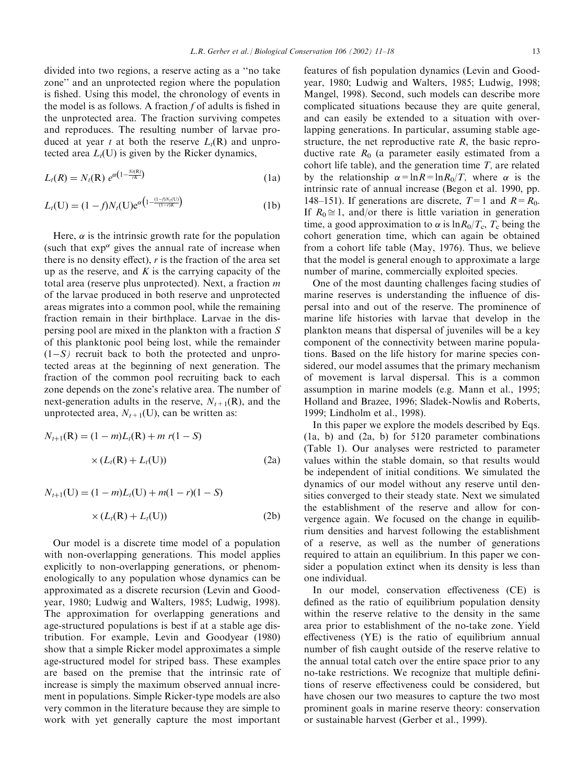divided into two regions, a reserve acting as a ''no take zone'' and an unprotected region where the population is fished. Using this model, the chronology of events in the model is as follows. A fraction  $f$  of adults is fished in the unprotected area. The fraction surviving competes and reproduces. The resulting number of larvae produced at year t at both the reserve  $L_t(R)$  and unprotected area  $L<sub>t</sub>(U)$  is given by the Ricker dynamics,

$$
L_t(R) = N_t(R) e^{\alpha \left(1 - \frac{N_t(R)}{rK}\right)} \tag{1a}
$$

$$
L_t(\mathbf{U}) = (1 - f)N_t(\mathbf{U})e^{\alpha \left(1 - \frac{(1 - f)N_t(\mathbf{U})}{(1 - r)K}\right)}
$$
(1b)

Here,  $\alpha$  is the intrinsic growth rate for the population (such that  $exp^{\alpha}$  gives the annual rate of increase when there is no density effect),  $r$  is the fraction of the area set up as the reserve, and  $K$  is the carrying capacity of the total area (reserve plus unprotected). Next, a fraction m of the larvae produced in both reserve and unprotected areas migrates into a common pool, while the remaining fraction remain in their birthplace. Larvae in the dispersing pool are mixed in the plankton with a fraction S of this planktonic pool being lost, while the remainder  $(1-S)$  recruit back to both the protected and unprotected areas at the beginning of next generation. The fraction of the common pool recruiting back to each zone depends on the zone's relative area. The number of next-generation adults in the reserve,  $N_{t+1}(\mathbf{R})$ , and the unprotected area,  $N_{t+1}(U)$ , can be written as:

$$
N_{t+1}(R) = (1 - m)L_t(R) + m r(1 - S)
$$
  
×  $(L_t(R) + L_t(U))$  (2a)

$$
N_{t+1}(U) = (1 - m)L_t(U) + m(1 - r)(1 - S)
$$
  
×  $(L_t(R) + L_t(U))$  (2b)

Our model is a discrete time model of a population with non-overlapping generations. This model applies explicitly to non-overlapping generations, or phenomenologically to any population whose dynamics can be approximated as a discrete recursion (Levin and Goodyear, 1980; Ludwig and Walters, 1985; Ludwig, 1998). The approximation for overlapping generations and age-structured populations is best if at a stable age distribution. For example, Levin and Goodyear (1980) show that a simple Ricker model approximates a simple age-structured model for striped bass. These examples are based on the premise that the intrinsic rate of increase is simply the maximum observed annual increment in populations. Simple Ricker-type models are also very common in the literature because they are simple to work with yet generally capture the most important

features of fish population dynamics (Levin and Goodyear, 1980; Ludwig and Walters, 1985; Ludwig, 1998; Mangel, 1998). Second, such models can describe more complicated situations because they are quite general, and can easily be extended to a situation with overlapping generations. In particular, assuming stable agestructure, the net reproductive rate  $R$ , the basic reproductive rate  $R_0$  (a parameter easily estimated from a cohort life table), and the generation time  $T$ , are related by the relationship  $\alpha = \ln R = \ln R_0/T$ , where  $\alpha$  is the intrinsic rate of annual increase (Begon et al. 1990, pp. 148–151). If generations are discrete,  $T=1$  and  $R=R_0$ . If  $R_0 \cong 1$ , and/or there is little variation in generation time, a good approximation to  $\alpha$  is ln $R_0/T_c$ ,  $T_c$  being the cohort generation time, which can again be obtained from a cohort life table (May, 1976). Thus, we believe that the model is general enough to approximate a large number of marine, commercially exploited species.

One of the most daunting challenges facing studies of marine reserves is understanding the influence of dispersal into and out of the reserve. The prominence of marine life histories with larvae that develop in the plankton means that dispersal of juveniles will be a key component of the connectivity between marine populations. Based on the life history for marine species considered, our model assumes that the primary mechanism of movement is larval dispersal. This is a common assumption in marine models (e.g. Mann et al., 1995; Holland and Brazee, 1996; Sladek-Nowlis and Roberts, 1999; Lindholm et al., 1998).

In this paper we explore the models described by Eqs. (1a, b) and (2a, b) for 5120 parameter combinations (Table 1). Our analyses were restricted to parameter values within the stable domain, so that results would be independent of initial conditions. We simulated the dynamics of our model without any reserve until densities converged to their steady state. Next we simulated the establishment of the reserve and allow for convergence again. We focused on the change in equilibrium densities and harvest following the establishment of a reserve, as well as the number of generations required to attain an equilibrium. In this paper we consider a population extinct when its density is less than one individual.

In our model, conservation effectiveness (CE) is defined as the ratio of equilibrium population density within the reserve relative to the density in the same area prior to establishment of the no-take zone. Yield effectiveness (YE) is the ratio of equilibrium annual number of fish caught outside of the reserve relative to the annual total catch over the entire space prior to any no-take restrictions. We recognize that multiple definitions of reserve effectiveness could be considered, but have chosen our two measures to capture the two most prominent goals in marine reserve theory: conservation or sustainable harvest (Gerber et al., 1999).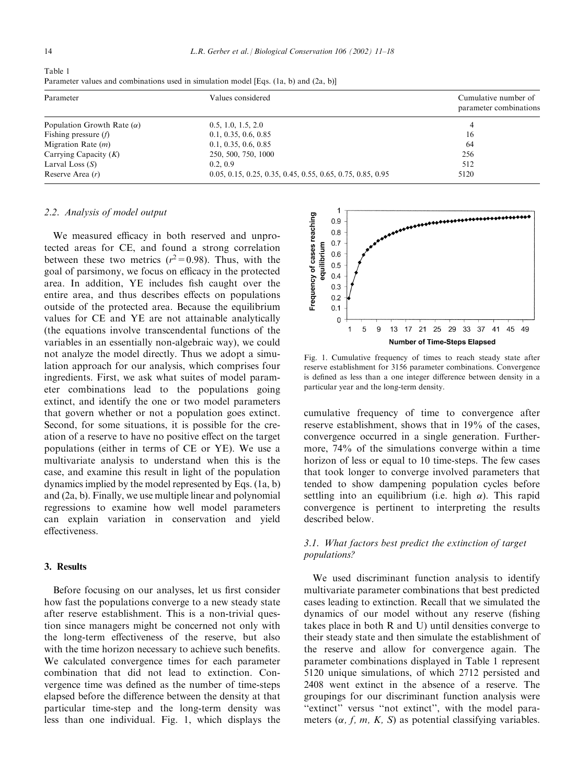| Table 1                                                                               |  |
|---------------------------------------------------------------------------------------|--|
| Parameter values and combinations used in simulation model [Eqs. (1a, b) and (2a, b)] |  |

| Parameter                         | Values considered                                            | Cumulative number of<br>parameter combinations |  |
|-----------------------------------|--------------------------------------------------------------|------------------------------------------------|--|
| Population Growth Rate $(\alpha)$ | 0.5, 1.0, 1.5, 2.0                                           | 4                                              |  |
| Fishing pressure $(f)$            | 0.1, 0.35, 0.6, 0.85                                         | 16                                             |  |
| Migration Rate $(m)$              | 0.1, 0.35, 0.6, 0.85                                         | 64                                             |  |
| Carrying Capacity $(K)$           | 250, 500, 750, 1000                                          | 256                                            |  |
| Larval Loss $(S)$                 | 0.2, 0.9                                                     | 512                                            |  |
| Reserve Area $(r)$                | $0.05, 0.15, 0.25, 0.35, 0.45, 0.55, 0.65, 0.75, 0.85, 0.95$ | 5120                                           |  |

#### 2.2. Analysis of model output

We measured efficacy in both reserved and unprotected areas for CE, and found a strong correlation between these two metrics  $(r^2 = 0.98)$ . Thus, with the goal of parsimony, we focus on efficacy in the protected area. In addition, YE includes fish caught over the entire area, and thus describes effects on populations outside of the protected area. Because the equilibrium values for CE and YE are not attainable analytically (the equations involve transcendental functions of the variables in an essentially non-algebraic way), we could not analyze the model directly. Thus we adopt a simulation approach for our analysis, which comprises four ingredients. First, we ask what suites of model parameter combinations lead to the populations going extinct, and identify the one or two model parameters that govern whether or not a population goes extinct. Second, for some situations, it is possible for the creation of a reserve to have no positive effect on the target populations (either in terms of CE or YE). We use a multivariate analysis to understand when this is the case, and examine this result in light of the population dynamics implied by the model represented by Eqs. (1a, b) and (2a, b). Finally, we use multiple linear and polynomial regressions to examine how well model parameters can explain variation in conservation and yield effectiveness.

## 3. Results

Before focusing on our analyses, let us first consider how fast the populations converge to a new steady state after reserve establishment. This is a non-trivial question since managers might be concerned not only with the long-term effectiveness of the reserve, but also with the time horizon necessary to achieve such benefits. We calculated convergence times for each parameter combination that did not lead to extinction. Convergence time was defined as the number of time-steps elapsed before the difference between the density at that particular time-step and the long-term density was less than one individual. Fig. 1, which displays the



Fig. 1. Cumulative frequency of times to reach steady state after reserve establishment for 3156 parameter combinations. Convergence is defined as less than a one integer difference between density in a particular year and the long-term density.

cumulative frequency of time to convergence after reserve establishment, shows that in 19% of the cases, convergence occurred in a single generation. Furthermore, 74% of the simulations converge within a time horizon of less or equal to 10 time-steps. The few cases that took longer to converge involved parameters that tended to show dampening population cycles before settling into an equilibrium (i.e. high  $\alpha$ ). This rapid convergence is pertinent to interpreting the results described below.

# 3.1. What factors best predict the extinction of target populations?

We used discriminant function analysis to identify multivariate parameter combinations that best predicted cases leading to extinction. Recall that we simulated the dynamics of our model without any reserve (fishing takes place in both R and U) until densities converge to their steady state and then simulate the establishment of the reserve and allow for convergence again. The parameter combinations displayed in Table 1 represent 5120 unique simulations, of which 2712 persisted and 2408 went extinct in the absence of a reserve. The groupings for our discriminant function analysis were "extinct" versus "not extinct", with the model parameters  $(\alpha, f, m, K, S)$  as potential classifying variables.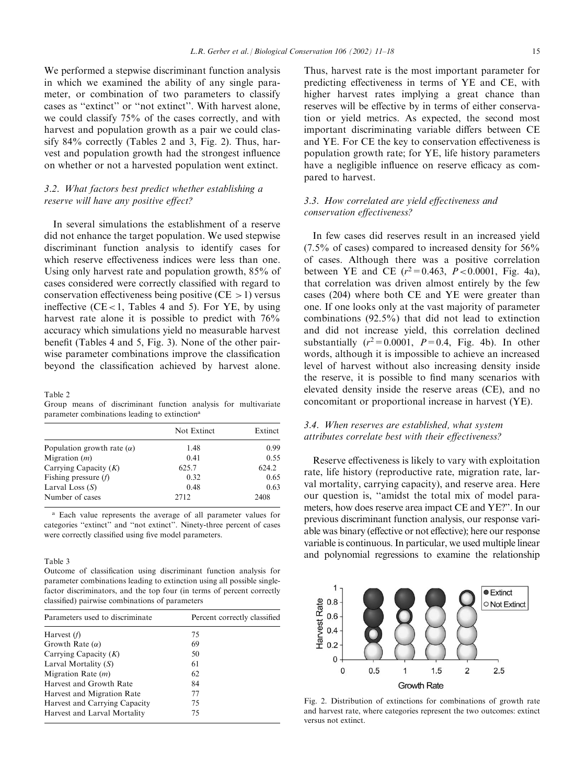We performed a stepwise discriminant function analysis in which we examined the ability of any single parameter, or combination of two parameters to classify cases as ''extinct'' or ''not extinct''. With harvest alone, we could classify 75% of the cases correctly, and with harvest and population growth as a pair we could classify 84% correctly (Tables 2 and 3, Fig. 2). Thus, harvest and population growth had the strongest influence on whether or not a harvested population went extinct.

# 3.2. What factors best predict whether establishing a reserve will have any positive effect?

In several simulations the establishment of a reserve did not enhance the target population. We used stepwise discriminant function analysis to identify cases for which reserve effectiveness indices were less than one. Using only harvest rate and population growth, 85% of cases considered were correctly classified with regard to conservation effectiveness being positive  $(CE > 1)$  versus ineffective (CE $<$ 1, Tables 4 and 5). For YE, by using harvest rate alone it is possible to predict with  $76\%$ accuracy which simulations yield no measurable harvest benefit (Tables 4 and 5, Fig. 3). None of the other pairwise parameter combinations improve the classification beyond the classification achieved by harvest alone.

Table 2

Group means of discriminant function analysis for multivariate parameter combinations leading to extinctiona

|                                   | Not Extinct | Extinct |
|-----------------------------------|-------------|---------|
| Population growth rate $(\alpha)$ | 1.48        | 0.99    |
| Migration $(m)$                   | 0.41        | 0.55    |
| Carrying Capacity $(K)$           | 625.7       | 624.2   |
| Fishing pressure $(f)$            | 0.32        | 0.65    |
| Larval Loss $(S)$                 | 0.48        | 0.63    |
| Number of cases                   | 2712        | 2408    |

<sup>a</sup> Each value represents the average of all parameter values for categories ''extinct'' and ''not extinct''. Ninety-three percent of cases were correctly classified using five model parameters.

Outcome of classification using discriminant function analysis for parameter combinations leading to extinction using all possible singlefactor discriminators, and the top four (in terms of percent correctly classified) pairwise combinations of parameters

| Parameters used to discriminate | Percent correctly classified |  |
|---------------------------------|------------------------------|--|
| Harvest $(f)$                   | 75                           |  |
| Growth Rate $(\alpha)$          | 69                           |  |
| Carrying Capacity $(K)$         | 50                           |  |
| Larval Mortality $(S)$          | 61                           |  |
| Migration Rate $(m)$            | 62                           |  |
| Harvest and Growth Rate         | 84                           |  |
| Harvest and Migration Rate      | 77                           |  |
| Harvest and Carrying Capacity   | 75                           |  |
| Harvest and Larval Mortality    | 75                           |  |

Thus, harvest rate is the most important parameter for predicting effectiveness in terms of YE and CE, with higher harvest rates implying a great chance than reserves will be effective by in terms of either conservation or yield metrics. As expected, the second most important discriminating variable differs between CE and YE. For CE the key to conservation effectiveness is population growth rate; for YE, life history parameters have a negligible influence on reserve efficacy as compared to harvest.

# 3.3. How correlated are yield effectiveness and conservation effectiveness?

In few cases did reserves result in an increased yield  $(7.5\%$  of cases) compared to increased density for  $56\%$ of cases. Although there was a positive correlation between YE and CE  $(r^2 = 0.463, P < 0.0001,$  Fig. 4a), that correlation was driven almost entirely by the few cases (204) where both CE and YE were greater than one. If one looks only at the vast majority of parameter combinations (92.5%) that did not lead to extinction and did not increase yield, this correlation declined substantially  $(r^2 = 0.0001, P = 0.4, Fig. 4b)$ . In other words, although it is impossible to achieve an increased level of harvest without also increasing density inside the reserve, it is possible to find many scenarios with elevated density inside the reserve areas (CE), and no concomitant or proportional increase in harvest (YE).

# 3.4. When reserves are established, what system attributes correlate best with their effectiveness?

Reserve effectiveness is likely to vary with exploitation rate, life history (reproductive rate, migration rate, larval mortality, carrying capacity), and reserve area. Here our question is, ''amidst the total mix of model parameters, how does reserve area impact CE and YE?''. In our previous discriminant function analysis, our response variable was binary (effective or not effective); here our response variable is continuous. In particular, we used multiple linear and polynomial regressions to examine the relationship Table 3



Fig. 2. Distribution of extinctions for combinations of growth rate and harvest rate, where categories represent the two outcomes: extinct versus not extinct.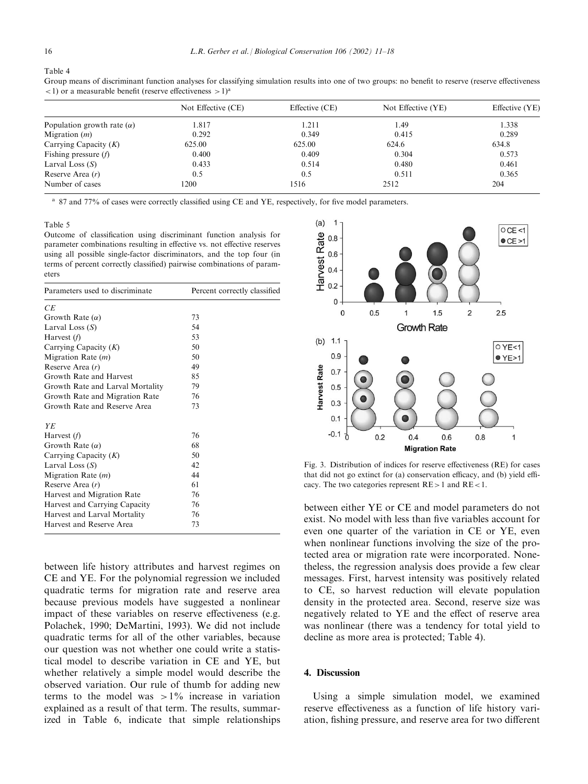Table 4

Group means of discriminant function analyses for classifying simulation results into one of two groups: no benefit to reserve (reserve effectiveness  $\langle 1 \rangle$  or a measurable benefit (reserve effectiveness  $>1$ )<sup>a</sup>

|                                   | Not Effective (CE) | Effective (CE) | Not Effective (YE) | Effective (YE) |
|-----------------------------------|--------------------|----------------|--------------------|----------------|
| Population growth rate $(\alpha)$ | 1.817              | 1.211          | 1.49               | 1.338          |
| Migration $(m)$                   | 0.292              | 0.349          | 0.415              | 0.289          |
| Carrying Capacity $(K)$           | 625.00             | 625.00         | 624.6              | 634.8          |
| Fishing pressure $(f)$            | 0.400              | 0.409          | 0.304              | 0.573          |
| Larval Loss $(S)$                 | 0.433              | 0.514          | 0.480              | 0.461          |
| Reserve Area $(r)$                | 0.5                | 0.5            | 0.511              | 0.365          |
| Number of cases                   | 1200               | 1516           | 2512               | 204            |

<sup>a</sup> 87 and 77% of cases were correctly classified using CE and YE, respectively, for five model parameters.

#### Table 5

Outcome of classification using discriminant function analysis for parameter combinations resulting in effective vs. not effective reserves using all possible single-factor discriminators, and the top four (in terms of percent correctly classified) pairwise combinations of parameters

| Parameters used to discriminate  | Percent correctly classified |  |  |
|----------------------------------|------------------------------|--|--|
| CE                               |                              |  |  |
| Growth Rate $(\alpha)$           | 73                           |  |  |
| Larval Loss $(S)$                | 54                           |  |  |
| Harvest $(f)$                    | 53                           |  |  |
| Carrying Capacity $(K)$          | 50                           |  |  |
| Migration Rate $(m)$             | 50                           |  |  |
| Reserve Area $(r)$               | 49                           |  |  |
| Growth Rate and Harvest          | 85                           |  |  |
| Growth Rate and Larval Mortality | 79                           |  |  |
| Growth Rate and Migration Rate   | 76                           |  |  |
| Growth Rate and Reserve Area     | 73                           |  |  |
| YE.                              |                              |  |  |
| Harvest $(f)$                    | 76                           |  |  |
| Growth Rate $(\alpha)$           | 68                           |  |  |
| Carrying Capacity $(K)$          | 50                           |  |  |
| Larval Loss $(S)$                | 42                           |  |  |
| Migration Rate $(m)$             | 44                           |  |  |
| Reserve Area $(r)$               | 61                           |  |  |
| Harvest and Migration Rate       | 76                           |  |  |
| Harvest and Carrying Capacity    | 76                           |  |  |
| Harvest and Larval Mortality     | 76                           |  |  |
| Harvest and Reserve Area         | 73                           |  |  |

between life history attributes and harvest regimes on CE and YE. For the polynomial regression we included quadratic terms for migration rate and reserve area because previous models have suggested a nonlinear impact of these variables on reserve effectiveness (e.g. Polachek, 1990; DeMartini, 1993). We did not include quadratic terms for all of the other variables, because our question was not whether one could write a statistical model to describe variation in CE and YE, but whether relatively a simple model would describe the observed variation. Our rule of thumb for adding new terms to the model was  $>1\%$  increase in variation explained as a result of that term. The results, summarized in Table 6, indicate that simple relationships



Fig. 3. Distribution of indices for reserve effectiveness (RE) for cases that did not go extinct for (a) conservation efficacy, and (b) yield efficacy. The two categories represent  $RE > 1$  and  $RE < 1$ .

between either YE or CE and model parameters do not exist. No model with less than five variables account for even one quarter of the variation in CE or YE, even when nonlinear functions involving the size of the protected area or migration rate were incorporated. Nonetheless, the regression analysis does provide a few clear messages. First, harvest intensity was positively related to CE, so harvest reduction will elevate population density in the protected area. Second, reserve size was negatively related to YE and the effect of reserve area was nonlinear (there was a tendency for total yield to decline as more area is protected; Table 4).

# 4. Discussion

Using a simple simulation model, we examined reserve effectiveness as a function of life history variation, fishing pressure, and reserve area for two different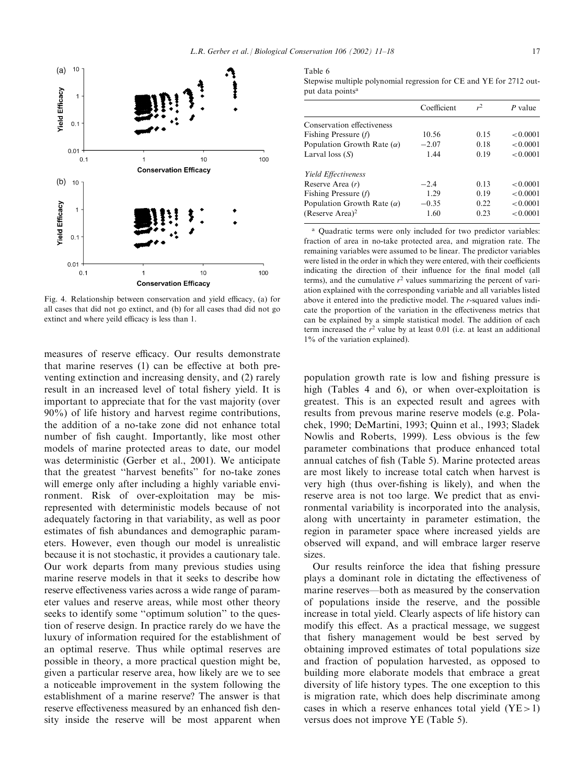

Fig. 4. Relationship between conservation and yield efficacy, (a) for all cases that did not go extinct, and (b) for all cases thad did not go extinct and where yeild efficacy is less than 1.

measures of reserve efficacy. Our results demonstrate that marine reserves (1) can be effective at both preventing extinction and increasing density, and (2) rarely result in an increased level of total fishery yield. It is important to appreciate that for the vast majority (over 90%) of life history and harvest regime contributions, the addition of a no-take zone did not enhance total number of fish caught. Importantly, like most other models of marine protected areas to date, our model was deterministic (Gerber et al., 2001). We anticipate that the greatest ''harvest benefits'' for no-take zones will emerge only after including a highly variable environment. Risk of over-exploitation may be misrepresented with deterministic models because of not adequately factoring in that variability, as well as poor estimates of fish abundances and demographic parameters. However, even though our model is unrealistic because it is not stochastic, it provides a cautionary tale. Our work departs from many previous studies using marine reserve models in that it seeks to describe how reserve effectiveness varies across a wide range of parameter values and reserve areas, while most other theory seeks to identify some "optimum solution" to the question of reserve design. In practice rarely do we have the luxury of information required for the establishment of an optimal reserve. Thus while optimal reserves are possible in theory, a more practical question might be, given a particular reserve area, how likely are we to see a noticeable improvement in the system following the establishment of a marine reserve? The answer is that reserve effectiveness measured by an enhanced fish density inside the reserve will be most apparent when

Table 6

Stepwise multiple polynomial regression for CE and YE for 2712 output data points<sup>a</sup>

|                                   | Coefficient | r <sup>2</sup> | P value  |
|-----------------------------------|-------------|----------------|----------|
| Conservation effectiveness        |             |                |          |
| Fishing Pressure $(f)$            | 10.56       | 0.15           | < 0.0001 |
| Population Growth Rate $(\alpha)$ | $-2.07$     | 0.18           | < 0.0001 |
| Larval loss $(S)$                 | 1.44        | 0.19           | < 0.0001 |
| <b>Yield Effectiveness</b>        |             |                |          |
| Reserve Area (r)                  | $-2.4$      | 0.13           | < 0.0001 |
| Fishing Pressure $(f)$            | 1.29        | 0.19           | < 0.0001 |
| Population Growth Rate $(\alpha)$ | $-0.35$     | 0.22           | < 0.0001 |
| (Reserve Area) <sup>2</sup>       | 1.60        | 0.23           | < 0.0001 |

<sup>a</sup> Quadratic terms were only included for two predictor variables: fraction of area in no-take protected area, and migration rate. The remaining variables were assumed to be linear. The predictor variables were listed in the order in which they were entered, with their coefficients indicating the direction of their influence for the final model (all terms), and the cumulative  $r^2$  values summarizing the percent of variation explained with the corresponding variable and all variables listed above it entered into the predictive model. The r-squared values indicate the proportion of the variation in the effectiveness metrics that can be explained by a simple statistical model. The addition of each term increased the  $r^2$  value by at least 0.01 (i.e. at least an additional 1% of the variation explained).

population growth rate is low and fishing pressure is high (Tables 4 and 6), or when over-exploitation is greatest. This is an expected result and agrees with results from prevous marine reserve models (e.g. Polachek, 1990; DeMartini, 1993; Quinn et al., 1993; Sladek Nowlis and Roberts, 1999). Less obvious is the few parameter combinations that produce enhanced total annual catches of fish (Table 5). Marine protected areas are most likely to increase total catch when harvest is very high (thus over-fishing is likely), and when the reserve area is not too large. We predict that as environmental variability is incorporated into the analysis, along with uncertainty in parameter estimation, the region in parameter space where increased yields are observed will expand, and will embrace larger reserve sizes.

Our results reinforce the idea that fishing pressure plays a dominant role in dictating the effectiveness of marine reserves—both as measured by the conservation of populations inside the reserve, and the possible increase in total yield. Clearly aspects of life history can modify this effect. As a practical message, we suggest that fishery management would be best served by obtaining improved estimates of total populations size and fraction of population harvested, as opposed to building more elaborate models that embrace a great diversity of life history types. The one exception to this is migration rate, which does help discriminate among cases in which a reserve enhances total yield  $(YE>1)$ versus does not improve YE (Table 5).